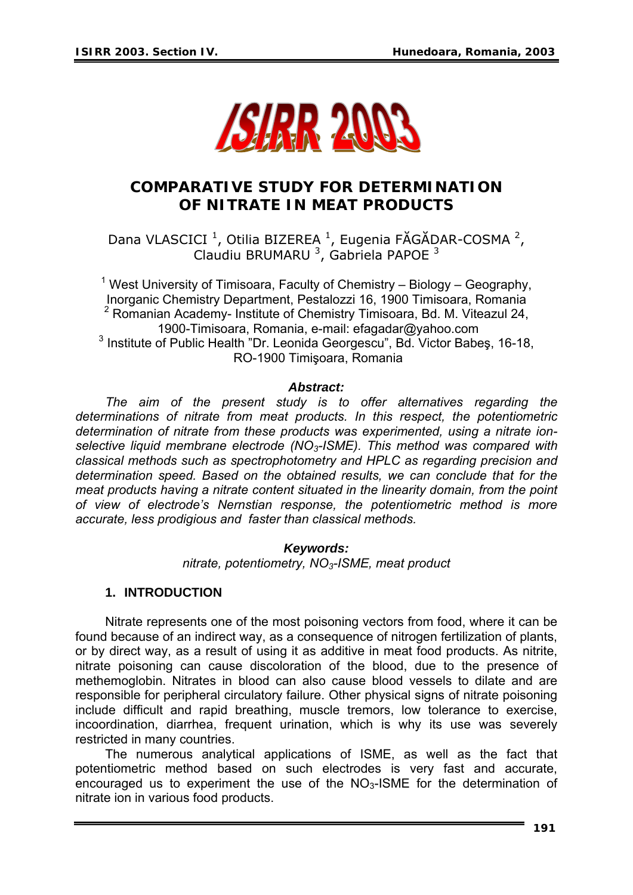

# **COMPARATIVE STUDY FOR DETERMINATION OF NITRATE IN MEAT PRODUCTS**

Dana VLASCICI<sup>1</sup>, Otilia BIZEREA<sup>1</sup>, Eugenia FĂGĂDAR-COSMA<sup>2</sup>, Claudiu BRUMARU<sup>3</sup>, Gabriela PAPOE<sup>3</sup>

<sup>1</sup> West University of Timisoara, Faculty of Chemistry – Biology – Geography, Inorganic Chemistry Department, Pestalozzi 16, 1900 Timisoara, Romania <sup>2</sup> Romanian Academy- Institute of Chemistry Timisoara, Bd. M. Viteazul 24, 1900-Timisoara, Romania, e-mail: efagadar@yahoo.com 3 Institute of Public Health "Dr. Leonida Georgescu", Bd. Victor Babeş, 16-18, RO-1900 Timişoara, Romania

#### *Abstract:*

*The aim of the present study is to offer alternatives regarding the determinations of nitrate from meat products. In this respect, the potentiometric determination of nitrate from these products was experimented, using a nitrate ion*selective liquid membrane electrode (NO<sub>3</sub>-ISME). This method was compared with *classical methods such as spectrophotometry and HPLC as regarding precision and determination speed. Based on the obtained results, we can conclude that for the meat products having a nitrate content situated in the linearity domain, from the point of view of electrode's Nernstian response, the potentiometric method is more accurate, less prodigious and faster than classical methods.* 

> *Keywords: nitrate, potentiometry, NO3-ISME, meat product*

#### **1. INTRODUCTION**

Nitrate represents one of the most poisoning vectors from food, where it can be found because of an indirect way, as a consequence of nitrogen fertilization of plants, or by direct way, as a result of using it as additive in meat food products. As nitrite, nitrate poisoning can cause discoloration of the blood, due to the presence of methemoglobin. Nitrates in blood can also cause blood vessels to dilate and are responsible for peripheral circulatory failure. Other physical signs of nitrate poisoning include difficult and rapid breathing, muscle tremors, low tolerance to exercise, incoordination, diarrhea, frequent urination, which is why its use was severely restricted in many countries.

The numerous analytical applications of ISME, as well as the fact that potentiometric method based on such electrodes is very fast and accurate, encouraged us to experiment the use of the  $NO<sub>3</sub>$ -ISME for the determination of nitrate ion in various food products.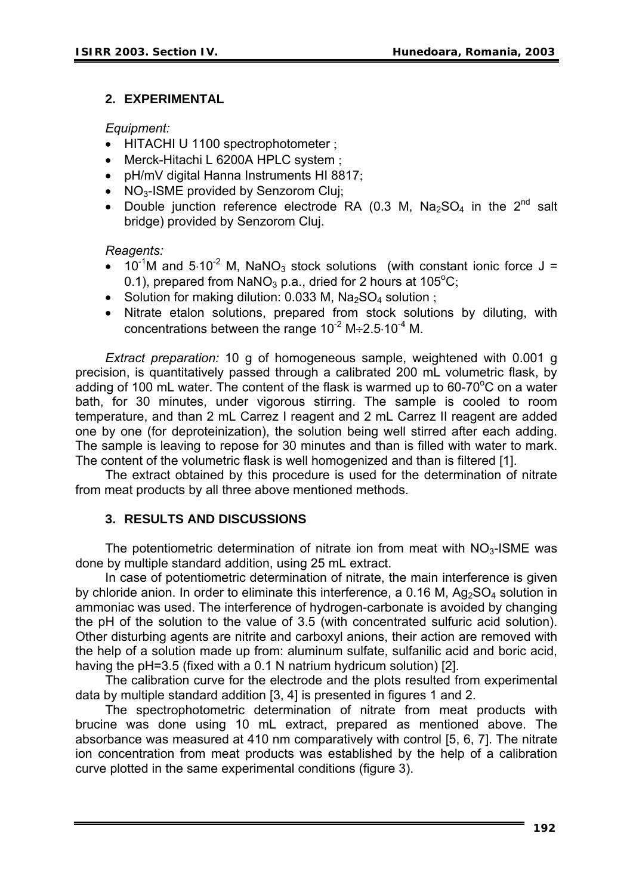## **2. EXPERIMENTAL**

*Equipment:*

- HITACHI U 1100 spectrophotometer ;
- Merck-Hitachi L 6200A HPLC system ;
- pH/mV digital Hanna Instruments HI 8817;
- NO<sub>3</sub>-ISME provided by Senzorom Cluj;
- Double junction reference electrode RA (0.3 M,  $Na<sub>2</sub>SO<sub>4</sub>$  in the 2<sup>nd</sup> salt bridge) provided by Senzorom Cluj.

#### *Reagents:*

- $10^{-1}$ M and  $5.10^{-2}$  M, NaNO<sub>3</sub> stock solutions (with constant ionic force J = 0.1), prepared from  $NaNO_3$  p.a., dried for 2 hours at 105 $^{\circ}C$ ;
- Solution for making dilution: 0.033 M,  $Na<sub>2</sub>SO<sub>4</sub>$  solution ;
- Nitrate etalon solutions, prepared from stock solutions by diluting, with concentrations between the range  $10^{-2}$  M $\div$ 2.5⋅10<sup>-4</sup> M.

*Extract preparation:* 10 g of homogeneous sample, weightened with 0.001 g precision, is quantitatively passed through a calibrated 200 mL volumetric flask, by adding of 100 mL water. The content of the flask is warmed up to 60-70 $\mathrm{^{\circ}C}$  on a water bath, for 30 minutes, under vigorous stirring. The sample is cooled to room temperature, and than 2 mL Carrez I reagent and 2 mL Carrez II reagent are added one by one (for deproteinization), the solution being well stirred after each adding. The sample is leaving to repose for 30 minutes and than is filled with water to mark. The content of the volumetric flask is well homogenized and than is filtered [1].

The extract obtained by this procedure is used for the determination of nitrate from meat products by all three above mentioned methods.

#### **3. RESULTS AND DISCUSSIONS**

The potentiometric determination of nitrate ion from meat with  $NO<sub>3</sub>$ -ISME was done by multiple standard addition, using 25 mL extract.

In case of potentiometric determination of nitrate, the main interference is given by chloride anion. In order to eliminate this interference, a 0.16 M,  $Aq_2SO_4$  solution in ammoniac was used. The interference of hydrogen-carbonate is avoided by changing the pH of the solution to the value of 3.5 (with concentrated sulfuric acid solution). Other disturbing agents are nitrite and carboxyl anions, their action are removed with the help of a solution made up from: aluminum sulfate, sulfanilic acid and boric acid, having the pH=3.5 (fixed with a 0.1 N natrium hydricum solution) [2].

The calibration curve for the electrode and the plots resulted from experimental data by multiple standard addition [3, 4] is presented in figures 1 and 2.

The spectrophotometric determination of nitrate from meat products with brucine was done using 10 mL extract, prepared as mentioned above. The absorbance was measured at 410 nm comparatively with control [5, 6, 7]. The nitrate ion concentration from meat products was established by the help of a calibration curve plotted in the same experimental conditions (figure 3).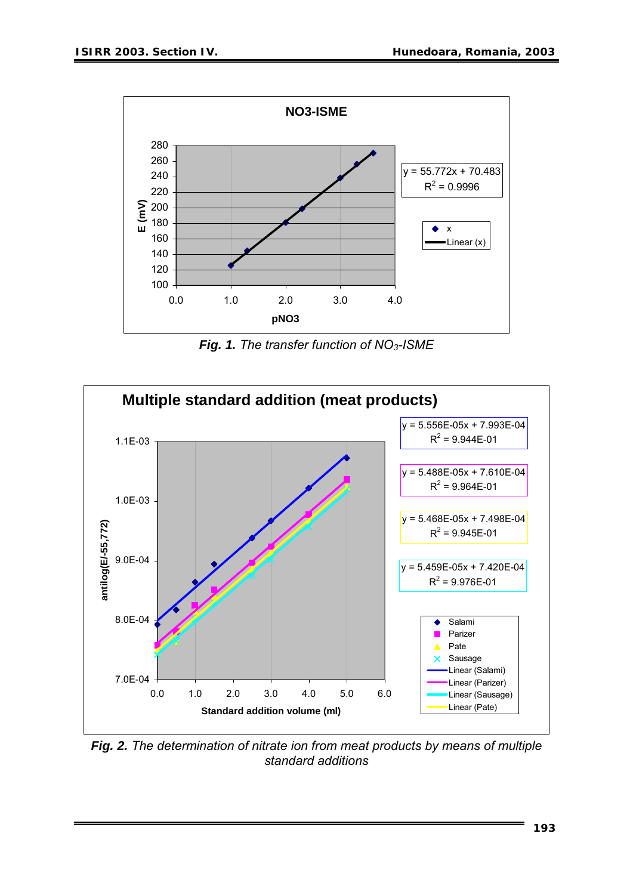

*Fig. 1. The transfer function of NO3-ISME*



*Fig. 2. The determination of nitrate ion from meat products by means of multiple standard additions*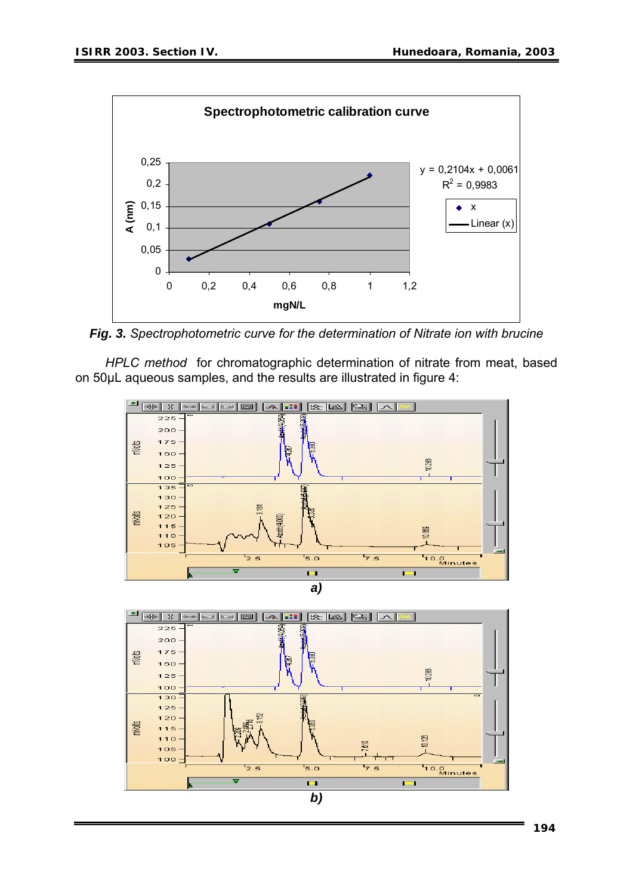

*Fig. 3. Spectrophotometric curve for the determination of Nitrate ion with brucine* 

*HPLC method* for chromatographic determination of nitrate from meat, based on 50µL aqueous samples, and the results are illustrated in figure 4:



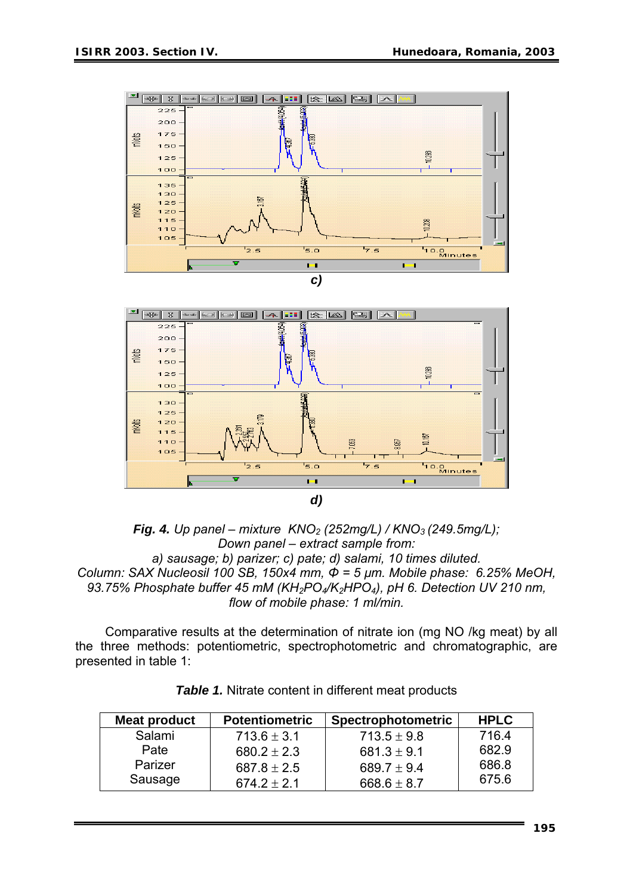



*flow of mobile phase: 1 ml/min.* 

Comparative results at the determination of nitrate ion (mg NO /kg meat) by all the t hree methods: potentiometric, spectrophotometric and chromatographic, are presented in table 1:

| Meat product | <b>Potentiometric</b> | <b>Spectrophotometric</b> | <b>HPLC</b> |
|--------------|-----------------------|---------------------------|-------------|
| Salami       | $713.6 \pm 3.1$       | $713.5 \pm 9.8$           | 716.4       |
| Pate         | $680.2 \pm 2.3$       | 681.3 $\pm$ 9.1           | 682.9       |
| Parizer      | $687.8 \pm 2.5$       | 689.7 $\pm$ 9.4           | 686.8       |
| Sausage      | $674.2 \pm 2.1$       | 668.6 $\pm$ 8.7           | 675.6       |

*Table 1.* Nitrate content in different meat products